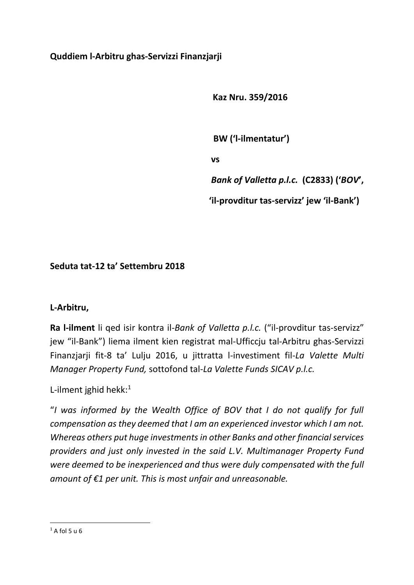# **Quddiem l-Arbitru ghas-Servizzi Finanzjarji**

 **Kaz Nru. 359/2016**

 **BW ('l-ilmentatur')**

 **vs**

*Bank of Valletta p.l.c.* **(C2833) ('***BOV***',**

 **'il-provditur tas-servizz' jew 'il-Bank')**

# **Seduta tat-12 ta' Settembru 2018**

## **L-Arbitru,**

**Ra l-ilment** li qed isir kontra il-*Bank of Valletta p.l.c.* ("il-provditur tas-servizz" jew "il-Bank") liema ilment kien registrat mal-Ufficcju tal-Arbitru ghas-Servizzi Finanzjarji fit-8 ta' Lulju 2016, u jittratta l-investiment fil-*La Valette Multi Manager Property Fund,* sottofond tal*-La Valette Funds SICAV p.l.c.*

L-ilment jghid hekk: 1

"*I was informed by the Wealth Office of BOV that I do not qualify for full compensation as they deemed that I am an experienced investor which I am not. Whereas others put huge investments in other Banks and other financial services providers and just only invested in the said L.V. Multimanager Property Fund were deemed to be inexperienced and thus were duly compensated with the full amount of €1 per unit. This is most unfair and unreasonable.* 

**<sup>.</sup>**  $1 A fol 5 u 6$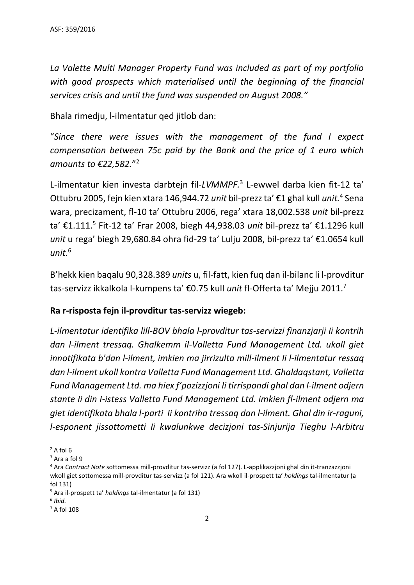*La Valette Multi Manager Property Fund was included as part of my portfolio with good prospects which materialised until the beginning of the financial services crisis and until the fund was suspended on August 2008."*

Bhala rimedju, l-ilmentatur qed jitlob dan:

"*Since there were issues with the management of the fund I expect compensation between 75c paid by the Bank and the price of 1 euro which amounts to €22,582.*" 2

L-ilmentatur kien investa darbtejn fil-*LVMMPF.* 3 L-ewwel darba kien fit-12 ta' Ottubru 2005, fejn kien xtara 146,944.72 *unit* bil-prezz ta' €1 ghal kull *unit.* 4 Sena wara, precizament, fl-10 ta' Ottubru 2006, rega' xtara 18,002.538 *unit* bil-prezz ta' €1.111. 5 Fit-12 ta' Frar 2008, biegh 44,938.03 *unit* bil-prezz ta' €1.1296 kull *unit* u rega' biegh 29,680.84 ohra fid-29 ta' Lulju 2008, bil-prezz ta' €1.0654 kull *unit.* 6

B'hekk kien baqalu 90,328.389 *units* u, fil-fatt, kien fuq dan il-bilanc li l-provditur tas-servizz ikkalkola l-kumpens ta' €0.75 kull *unit* fl-Offerta ta' Mejju 2011.<sup>7</sup>

## **Ra r-risposta fejn il-provditur tas-servizz wiegeb:**

*L-ilmentatur identifika lill-BOV bhala l-provditur tas-servizzi finanzjarji Ii kontrih dan l-ilment tressaq. Ghalkemm il-Valletta Fund Management Ltd. ukoll giet innotifikata b'dan l-ilment, imkien ma jirrizulta mill-ilment Ii l-ilmentatur ressaq dan l-ilment ukoll kontra Valletta Fund Management Ltd. Ghaldaqstant, Valletta Fund Management Ltd. ma hiex f'pozizzjoni Ii tirrispondi ghal dan l-ilment odjern stante Ii din I-istess Valletta Fund Management Ltd. imkien fl-ilment odjern ma giet identifikata bhala l-parti Ii kontriha tressaq dan l-ilment. Ghal din ir-raguni, l-esponent jissottometti Ii kwalunkwe decizjoni tas-Sinjurija Tieghu l-Arbitru* 

 $\overline{a}$  $2$  A fol 6

<sup>3</sup> Ara a fol 9

<sup>4</sup> Ara *Contract Note* sottomessa mill-provditur tas-servizz (a fol 127). L-applikazzjoni ghal din it-tranzazzjoni wkoll giet sottomessa mill-provditur tas-servizz (a fol 121). Ara wkoll il-prospett ta' *holdings* tal-ilmentatur (a fol 131)

<sup>5</sup> Ara il-prospett ta' *holdings* tal-ilmentatur (a fol 131)

*<sup>6</sup> Ibid.*

 $<sup>7</sup>$  A fol 108</sup>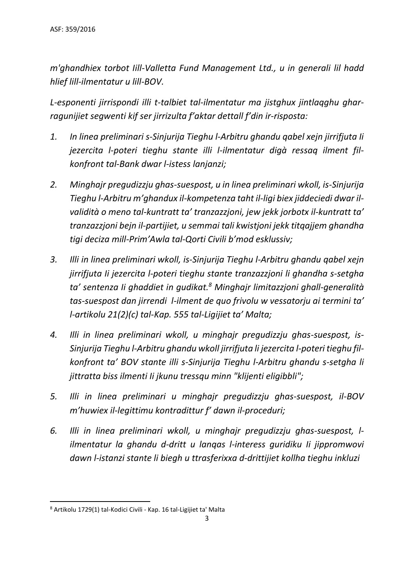*m'ghandhiex torbot Iill-Valletta Fund Management Ltd., u in generali lil hadd hlief lill-ilmentatur u lill-BOV.*

*L-esponenti jirrispondi illi t-talbiet tal-ilmentatur ma jistghux jintlaqghu gharragunijiet segwenti kif ser jirrizulta f'aktar dettall f'din ir-risposta:*

- *1. In linea preliminari s-Sinjurija Tieghu l-Arbitru ghandu qabel xejn jirrifjuta Ii jezercita l-poteri tieghu stante illi l-ilmentatur digà ressaq ilment filkonfront tal-Bank dwar l-istess lanjanzi;*
- *2. Minghajr pregudizzju ghas-suespost, u in linea preliminari wkoll, is-Sinjurija Tieghu l-Arbitru m'ghandux il-kompetenza taht il-ligi biex jiddeciedi dwar ilvalidità o meno tal-kuntratt ta' tranzazzjoni, jew jekk jorbotx il-kuntratt ta' tranzazzjoni bejn il-partijiet, u semmai tali kwistjoni jekk titqajjem ghandha tigi deciza mill-Prim'Awla tal-Qorti Civili b'mod esklussiv;*
- *3. Illi in linea preliminari wkoll, is-Sinjurija Tieghu l-Arbitru ghandu qabel xejn jirrifjuta Ii jezercita l-poteri tieghu stante tranzazzjoni li ghandha s-setgha ta' sentenza Ii ghaddiet in gudikat. <sup>8</sup> Minghajr limitazzjoni ghall-generalità tas-suespost dan jirrendi l-ilment de quo frivolu w vessatorju ai termini ta' l-artikolu 21(2)(c) tal-Kap. 555 tal-Ligijiet ta' Malta;*
- *4. Illi in linea preliminari wkoll, u minghajr pregudizzju ghas-suespost, is-Sinjurija Tieghu l-Arbitru ghandu wkoll jirrifjuta li jezercita l-poteri tieghu filkonfront ta' BOV stante illi s-Sinjurija Tieghu l-Arbitru ghandu s-setgha li jittratta biss ilmenti Ii jkunu tressqu minn "klijenti eligibbli";*
- *5. Illi in linea preliminari u minghajr pregudizzju ghas-suespost, il-BOV m'huwiex il-legittimu kontradittur f' dawn il-proceduri;*
- *6. Illi in linea preliminari wkoll, u minghajr pregudizzju ghas-suespost, lilmentatur la ghandu d-dritt u lanqas l-interess guridiku Ii jippromwovi dawn l-istanzi stante li biegh u ttrasferixxa d-drittijiet kollha tieghu inkluzi*

 $\overline{a}$ 

<sup>8</sup> Artikolu 1729(1) tal-Kodici Civili - Kap. 16 tal-Ligijiet ta' Malta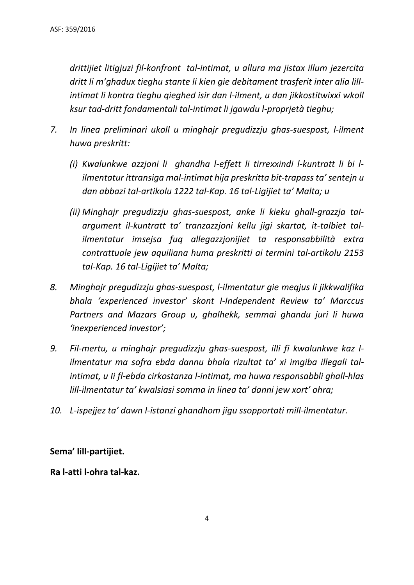*drittijiet litigjuzi fil-konfront tal-intimat, u allura ma jistax illum jezercita dritt li m'ghadux tieghu stante li kien gie debitament trasferit inter alia lillintimat li kontra tieghu qieghed isir dan l-ilment, u dan jikkostitwixxi wkoll ksur tad-dritt fondamentali tal-intimat li jgawdu l-proprjetà tieghu;*

- *7. In linea preliminari ukoll u minghajr pregudizzju ghas-suespost, l-ilment huwa preskritt:*
	- *(i) Kwalunkwe azzjoni li ghandha l-effett li tirrexxindi l-kuntratt li bi lilmentatur ittransiga mal-intimat hija preskritta bit-trapass ta'sentejn u dan abbazi tal-artikolu 1222 tal-Kap. 16 tal-Ligijiet ta' Malta; u*
	- *(ii) Minghajr pregudizzju ghas-suespost, anke li kieku ghall-grazzja taIargument il-kuntratt ta' tranzazzjoni kellu jigi skartat, it-talbiet talilmentatur imsejsa fuq allegazzjonijiet ta responsabbilità extra contrattuale jew aquiliana huma preskritti ai termini tal-artikolu 2153 tal-Kap. 16 tal-Ligijiet ta' Malta;*
- *8. Minghajr pregudizzju ghas-suespost, l-ilmentatur gie meqjus li jikkwalifika bhala 'experienced investor' skont I-Independent Review ta' Marccus Partners and Mazars Group u, ghalhekk, semmai ghandu juri li huwa 'inexperienced investor';*
- *9. Fil-mertu, u minghajr pregudizzju ghas-suespost, illi fi kwalunkwe kaz lilmentatur ma sofra ebda dannu bhala rizultat ta' xi imgiba illegali talintimat, u Ii fl-ebda cirkostanza l-intimat, ma huwa responsabbli ghall-hlas lill-ilmentatur ta' kwalsiasi somma in linea ta' danni jew xort' ohra;*
- *10. L-ispejjez ta' dawn l-istanzi ghandhom jigu ssopportati mill-ilmentatur.*

## **Sema' lill-partijiet.**

#### **Ra l-atti l-ohra tal-kaz.**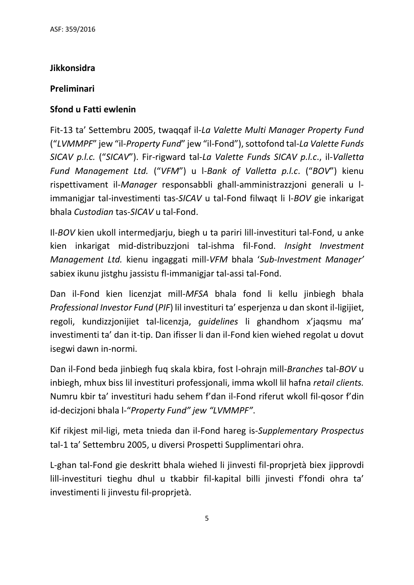## **Jikkonsidra**

## **Preliminari**

## **Sfond u Fatti ewlenin**

Fit-13 ta' Settembru 2005, twaqqaf il-*La Valette Multi Manager Property Fund* ("*LVMMPF*" jew "il-*Property Fund*" jew "il-Fond"), sottofond tal-*La Valette Funds SICAV p.l.c.* ("*SICAV*"). Fir-rigward tal-*La Valette Funds SICAV p.l.c*., il-*Valletta Fund Management Ltd.* ("*VFM*") u l-*Bank of Valletta p.l.c*. ("*BOV*") kienu rispettivament il-*Manager* responsabbli ghall-amministrazzjoni generali u limmanigjar tal-investimenti tas-*SICAV* u tal-Fond filwaqt li l-*BOV* gie inkarigat bhala *Custodian* tas-*SICAV* u tal-Fond.

Il-*BOV* kien ukoll intermedjarju, biegh u ta pariri lill-investituri tal-Fond, u anke kien inkarigat mid-distribuzzjoni tal-ishma fil-Fond. *Insight Investment Management Ltd.* kienu ingaggati mill-*VFM* bhala '*Sub-Investment Manager'* sabiex ikunu jistghu jassistu fl-immanigjar tal-assi tal-Fond.

Dan il-Fond kien licenzjat mill-*MFSA* bhala fond li kellu jinbiegh bhala *Professional Investor Fund* (*PIF*) lil investituri ta' esperjenza u dan skont il-ligijiet, regoli, kundizzjonijiet tal-licenzja, *guidelines* li ghandhom x'jaqsmu ma' investimenti ta' dan it-tip. Dan ifisser li dan il-Fond kien wiehed regolat u dovut isegwi dawn in-normi.

Dan il-Fond beda jinbiegh fuq skala kbira, fost l-ohrajn mill*-Branches* tal-*BOV* u inbiegh, mhux biss lil investituri professjonali, imma wkoll lil hafna *retail clients.* Numru kbir ta' investituri hadu sehem f'dan il-Fond riferut wkoll fil-qosor f'din id-decizjoni bhala l-"*Property Fund" jew "LVMMPF"*.

Kif rikjest mil-ligi, meta tnieda dan il-Fond hareg is-*Supplementary Prospectus* tal-1 ta' Settembru 2005, u diversi Prospetti Supplimentari ohra.

L-ghan tal-Fond gie deskritt bhala wiehed li jinvesti fil-proprjetà biex jipprovdi lill-investituri tieghu dhul u tkabbir fil-kapital billi jinvesti f'fondi ohra ta' investimenti li jinvestu fil-proprjetà.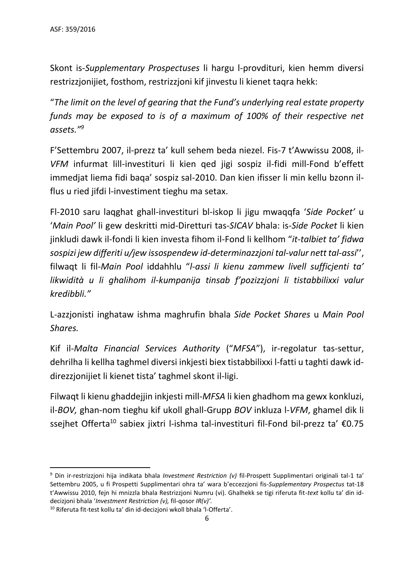Skont is-*Supplementary Prospectuses* li hargu l-provdituri, kien hemm diversi restrizzjonijiet, fosthom, restrizzjoni kif jinvestu li kienet taqra hekk:

"*The limit on the level of gearing that the Fund's underlying real estate property funds may be exposed to is of a maximum of 100% of their respective net assets."<sup>9</sup>*

F'Settembru 2007, il-prezz ta' kull sehem beda niezel. Fis-7 t'Awwissu 2008, il-*VFM* infurmat lill-investituri li kien qed jigi sospiz il-fidi mill-Fond b'effett immedjat liema fidi baqa' sospiz sal-2010. Dan kien ifisser li min kellu bzonn ilflus u ried jifdi l-investiment tieghu ma setax.

Fl-2010 saru laqghat ghall-investituri bl-iskop li jigu mwaqqfa '*Side Pocket'* u '*Main Pool'* li gew deskritti mid-Diretturi tas-*SICAV* bhala: is-*Side Pocket* li kien jinkludi dawk il-fondi li kien investa fihom il-Fond li kellhom "*it-talbiet ta' fidwa sospizi jew differiti u/jew issospendew id-determinazzjoni tal-valur nett tal-assi*'', filwaqt li fil-*Main Pool* iddahhlu "*l-assi li kienu zammew livell sufficjenti ta' likwidità u li ghalihom il-kumpanija tinsab f'pozizzjoni li tistabbilixxi valur kredibbli."*

L-azzjonisti inghataw ishma maghrufin bhala *Side Pocket Shares* u *Main Pool Shares.*

Kif il-*Malta Financial Services Authority* ("*MFSA*"), ir-regolatur tas-settur, dehrilha li kellha taghmel diversi inkjesti biex tistabbilixxi l-fatti u taghti dawk iddirezzjonijiet li kienet tista' taghmel skont il-ligi.

Filwaqt li kienu ghaddejjin inkjesti mill-*MFSA* li kien ghadhom ma gewx konkluzi, il-*BOV,* ghan-nom tieghu kif ukoll ghall-Grupp *BOV* inkluza l-*VFM*, ghamel dik li ssejhet Offerta<sup>10</sup> sabiex jixtri l-ishma tal-investituri fil-Fond bil-prezz ta' €0.75

1

<sup>9</sup> Din ir-restrizzjoni hija indikata bhala *Investment Restriction (v)* fil-Prospett Supplimentari originali tal-1 ta' Settembru 2005, u fi Prospetti Supplimentari ohra ta' wara b'eccezzjoni fis-*Supplementary Prospectus* tat-18 t'Awwissu 2010, fejn hi mnizzla bhala Restrizzjoni Numru (vi). Ghalhekk se tigi riferuta fit-*text* kollu ta' din iddecizjoni bhala '*Investment Restriction (v),* fil-qosor *IR(v)'.*

<sup>10</sup> Riferuta fit-test kollu ta' din id-decizjoni wkoll bhala 'l-Offerta'.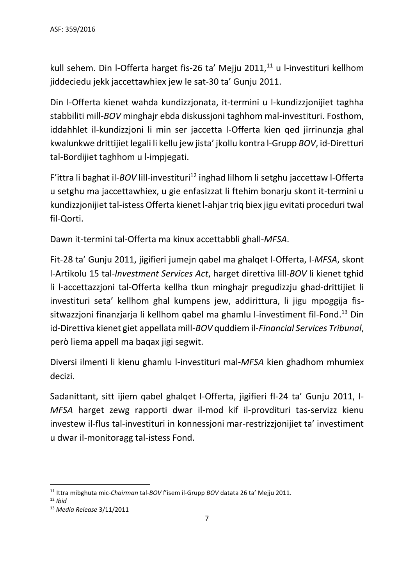kull sehem. Din l-Offerta harget fis-26 ta' Mejju 2011,<sup>11</sup> u l-investituri kellhom jiddeciedu jekk jaccettawhiex jew le sat-30 ta' Gunju 2011.

Din l-Offerta kienet wahda kundizzjonata, it-termini u l-kundizzjonijiet taghha stabbiliti mill-*BOV* minghajr ebda diskussjoni taghhom mal-investituri. Fosthom, iddahhlet il-kundizzjoni li min ser jaccetta l-Offerta kien qed jirrinunzja ghal kwalunkwe drittijiet legali li kellu jew jista' jkollu kontra l-Grupp *BOV*, id-Diretturi tal-Bordijiet taghhom u l-impjegati.

F'ittra li baghat il-*BOV* lill-investituri<sup>12</sup> inghad lilhom li setghu jaccettaw l-Offerta u setghu ma jaccettawhiex, u gie enfasizzat li ftehim bonarju skont it-termini u kundizzjonijiet tal-istess Offerta kienet l-ahjar triq biex jigu evitati proceduri twal fil-Qorti.

Dawn it-termini tal-Offerta ma kinux accettabbli ghall-*MFSA*.

Fit-28 ta' Gunju 2011, jigifieri jumejn qabel ma ghalqet l-Offerta, l-*MFSA*, skont l-Artikolu 15 tal-*Investment Services Act*, harget direttiva lill-*BOV* li kienet tghid li l-accettazzjoni tal-Offerta kellha tkun minghajr pregudizzju ghad-drittijiet li investituri seta' kellhom ghal kumpens jew, addirittura, li jigu mpoggija fissitwazzjoni finanzjarja li kellhom qabel ma ghamlu l-investiment fil-Fond.<sup>13</sup> Din id-Direttiva kienet giet appellata mill-*BOV* quddiem il-*Financial Services Tribunal*, però liema appell ma baqax jigi segwit.

Diversi ilmenti li kienu ghamlu l-investituri mal-*MFSA* kien ghadhom mhumiex decizi.

Sadanittant, sitt ijiem qabel ghalqet l-Offerta, jigifieri fl-24 ta' Gunju 2011, l-*MFSA* harget zewg rapporti dwar il-mod kif il-provdituri tas-servizz kienu investew il-flus tal-investituri in konnessjoni mar-restrizzjonijiet ta' investiment u dwar il-monitoragg tal-istess Fond.

<sup>1</sup> <sup>11</sup> Ittra mibghuta mic-*Chairman* tal-*BOV* f'isem il-Grupp *BOV* datata 26 ta' Mejju 2011.

<sup>12</sup> *Ibid*

<sup>13</sup> *Media Release* 3/11/2011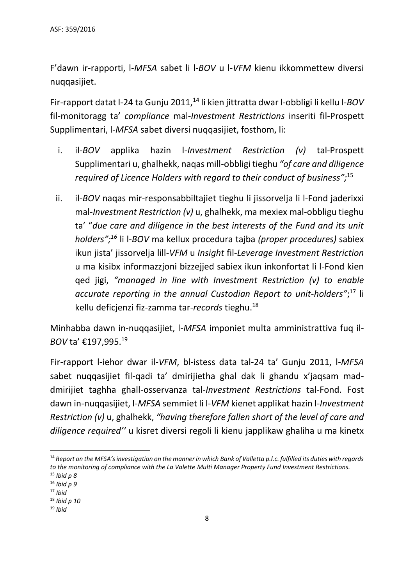F'dawn ir-rapporti, l-*MFSA* sabet li l-*BOV* u l-*VFM* kienu ikkommettew diversi nuqqasijiet.

Fir-rapport datat l-24 ta Gunju 2011,<sup>14</sup> li kien jittratta dwar l-obbligi li kellu l-*BOV* fil-monitoragg ta' *compliance* mal-*Investment Restrictions* inseriti fil-Prospett Supplimentari, l-*MFSA* sabet diversi nuqqasijiet, fosthom, li:

- i. il-*BOV* applika hazin l-*Investment Restriction (v)* tal-Prospett Supplimentari u, ghalhekk, naqas mill-obbligi tieghu *"of care and diligence required of Licence Holders with regard to their conduct of business";*<sup>15</sup>
- ii. il-*BOV* naqas mir-responsabbiltajiet tieghu li jissorvelja li l-Fond jaderixxi mal-*Investment Restriction (v)* u, ghalhekk, ma mexiex mal-obbligu tieghu ta' "*due care and diligence in the best interests of the Fund and its unit holders";<sup>16</sup>* li l-*BOV* ma kellux procedura tajba *(proper procedures)* sabiex ikun jista' jissorvelja lill-*VFM* u *Insight* fil-*Leverage Investment Restriction* u ma kisibx informazzjoni bizzejjed sabiex ikun inkonfortat li l-Fond kien qed jigi, *"managed in line with Investment Restriction (v) to enable accurate reporting in the annual Custodian Report to unit-holders"*; <sup>17</sup> li kellu deficjenzi fiz-zamma tar*-records* tieghu.<sup>18</sup>

Minhabba dawn in-nuqqasijiet, l-*MFSA* imponiet multa amministrattiva fuq il-*BOV* ta' €197,995.<sup>19</sup>

Fir-rapport l-iehor dwar il-*VFM*, bl-istess data tal-24 ta' Gunju 2011, l-*MFSA* sabet nuqqasijiet fil-qadi ta' dmirijietha ghal dak li ghandu x'jaqsam maddmirijiet taghha ghall-osservanza tal-*Investment Restrictions* tal-Fond. Fost dawn in-nuqqasijiet, l-*MFSA* semmiet li l-*VFM* kienet applikat hazin l-*Investment Restriction (v)* u, ghalhekk, *"having therefore fallen short of the level of care and diligence required''* u kisret diversi regoli li kienu japplikaw ghaliha u ma kinetx

**.** 

<sup>19</sup> *Ibid* 

<sup>14</sup> *Report on the MFSA's investigation on the manner in which Bank of Valletta p.l.c. fulfilled its duties with regards to the monitoring of compliance with the La Valette Multi Manager Property Fund Investment Restrictions.*

<sup>15</sup> *Ibid p 8*

<sup>16</sup> *Ibid p 9*

<sup>17</sup> *Ibid* 

<sup>18</sup> *Ibid p 10*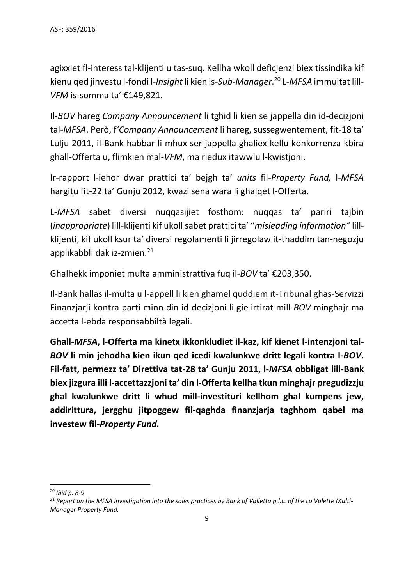agixxiet fl-interess tal-klijenti u tas-suq. Kellha wkoll deficjenzi biex tissindika kif kienu qed jinvestu l-fondi l-*Insight* li kien is-*Sub-Manager*. <sup>20</sup> L-*MFSA* immultat lill-*VFM* is-somma ta' €149,821.

Il-*BOV* hareg *Company Announcement* li tghid li kien se jappella din id-decizjoni tal-*MFSA*. Però, f*'Company Announcement* li hareg, sussegwentement, fit-18 ta' Lulju 2011, il-Bank habbar li mhux ser jappella ghaliex kellu konkorrenza kbira ghall-Offerta u, flimkien mal-*VFM*, ma riedux itawwlu l-kwistjoni.

Ir-rapport l-iehor dwar prattici ta' bejgh ta' *units* fil-*Property Fund,* l-*MFSA* hargitu fit-22 ta' Gunju 2012, kwazi sena wara li ghalqet l-Offerta.

L-*MFSA* sabet diversi nuqqasijiet fosthom: nuqqas ta' pariri tajbin (*inappropriate*) lill-klijenti kif ukoll sabet prattici ta' "*misleading information"* lillklijenti, kif ukoll ksur ta' diversi regolamenti li jirregolaw it-thaddim tan-negozju applikabbli dak iz-zmien.<sup>21</sup>

Ghalhekk imponiet multa amministrattiva fuq il-*BOV* ta' €203,350.

Il-Bank hallas il-multa u l-appell li kien ghamel quddiem it-Tribunal ghas-Servizzi Finanzjarji kontra parti minn din id-decizjoni li gie irtirat mill-*BOV* minghajr ma accetta l-ebda responsabbiltà legali.

**Ghall-***MFSA***, l-Offerta ma kinetx ikkonkludiet il-kaz, kif kienet l-intenzjoni tal-***BOV* **li min jehodha kien ikun qed icedi kwalunkwe dritt legali kontra l-***BOV***. Fil-fatt, permezz ta' Direttiva tat-28 ta' Gunju 2011, l-***MFSA* **obbligat lill-Bank biex jizgura illi l-accettazzjoni ta' din l-Offerta kellha tkun minghajr pregudizzju ghal kwalunkwe dritt li whud mill-investituri kellhom ghal kumpens jew, addirittura, jergghu jitpoggew fil-qaghda finanzjarja taghhom qabel ma investew fil-***Property Fund.*

1

<sup>20</sup> *Ibid p. 8-9*

<sup>21</sup> *Report on the MFSA investigation into the sales practices by Bank of Valletta p.l.c. of the La Valette Multi-Manager Property Fund.*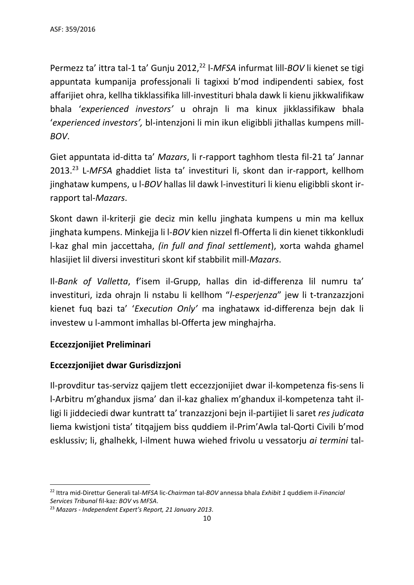Permezz ta' ittra tal-1 ta' Gunju 2012,<sup>22</sup> l-MFSA infurmat lill-BOV li kienet se tigi appuntata kumpanija professjonali li tagixxi b'mod indipendenti sabiex, fost affarijiet ohra, kellha tikklassifika lill-investituri bhala dawk li kienu jikkwalifikaw bhala '*experienced investors'* u ohrajn li ma kinux jikklassifikaw bhala '*experienced investors',* bl-intenzjoni li min ikun eligibbli jithallas kumpens mill-*BOV*.

Giet appuntata id-ditta ta' *Mazars*, li r-rapport taghhom tlesta fil-21 ta' Jannar 2013.<sup>23</sup> L-*MFSA* ghaddiet lista ta' investituri li, skont dan ir-rapport, kellhom jinghataw kumpens, u l-*BOV* hallas lil dawk l-investituri li kienu eligibbli skont irrapport tal-*Mazars*.

Skont dawn il-kriterji gie deciz min kellu jinghata kumpens u min ma kellux jinghata kumpens. Minkejja li l-*BOV* kien nizzel fl-Offerta li din kienet tikkonkludi l-kaz ghal min jaccettaha, *(in full and final settlement*), xorta wahda ghamel hlasijiet lil diversi investituri skont kif stabbilit mill-*Mazars*.

Il*-Bank of Valletta*, f'isem il-Grupp, hallas din id-differenza lil numru ta' investituri, izda ohrajn li nstabu li kellhom "*l-esperjenza*" jew li t-tranzazzjoni kienet fuq bazi ta' '*Execution Only'* ma inghatawx id-differenza bejn dak li investew u l-ammont imhallas bl-Offerta jew minghajrha.

## **Eccezzjonijiet Preliminari**

## **Eccezzjonijiet dwar Gurisdizzjoni**

Il-provditur tas-servizz qajjem tlett eccezzjonijiet dwar il-kompetenza fis-sens li l-Arbitru m'ghandux jisma' dan il-kaz ghaliex m'ghandux il-kompetenza taht illigi li jiddeciedi dwar kuntratt ta' tranzazzjoni bejn il-partijiet li saret *res judicata* liema kwistjoni tista' titqajjem biss quddiem il-Prim'Awla tal-Qorti Civili b'mod esklussiv; li, ghalhekk, l-ilment huwa wiehed frivolu u vessatorju *ai termini* tal-

<sup>1</sup> <sup>22</sup> Ittra mid-Direttur Generali tal-*MFSA* lic-*Chairman* tal-*BOV* annessa bhala *Exhibit 1* quddiem il-*Financial Services Tribunal* fil-kaz: *BOV* vs *MFSA*.

<sup>23</sup> *Mazars - Independent Expert's Report, 21 January 2013.*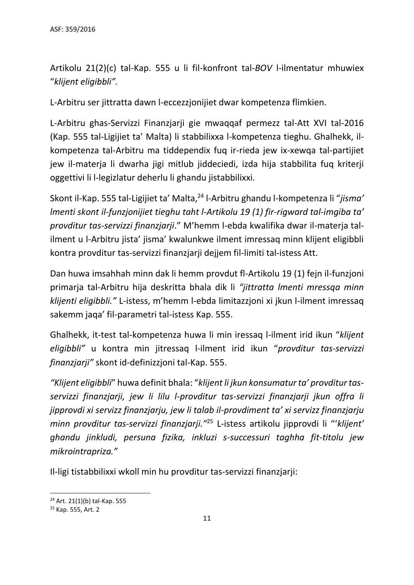Artikolu 21(2)(c) tal-Kap. 555 u li fil-konfront tal-*BOV* l-ilmentatur mhuwiex "*klijent eligibbli".*

L-Arbitru ser jittratta dawn l-eccezzjonijiet dwar kompetenza flimkien.

L-Arbitru ghas-Servizzi Finanzjarji gie mwaqqaf permezz tal-Att XVI tal-2016 (Kap. 555 tal-Ligijiet ta' Malta) li stabbilixxa l-kompetenza tieghu. Ghalhekk, ilkompetenza tal-Arbitru ma tiddependix fuq ir-rieda jew ix-xewqa tal-partijiet jew il-materja li dwarha jigi mitlub jiddeciedi, izda hija stabbilita fuq kriterji oggettivi li l-legizlatur deherlu li ghandu jistabbilixxi.

Skont il-Kap. 555 tal-Ligijiet ta' Malta,<sup>24</sup> l-Arbitru ghandu l-kompetenza li "*jisma' lmenti skont il-funzjonijiet tieghu taht l-Artikolu 19 (1) fir-rigward tal-imgiba ta' provditur tas-servizzi finanzjarji*." M'hemm l-ebda kwalifika dwar il-materja talilment u l-Arbitru jista' jisma' kwalunkwe ilment imressaq minn klijent eligibbli kontra provditur tas-servizzi finanzjarji dejjem fil-limiti tal-istess Att.

Dan huwa imsahhah minn dak li hemm provdut fl-Artikolu 19 (1) fejn il-funzjoni primarja tal-Arbitru hija deskritta bhala dik li *"jittratta lmenti mressqa minn klijenti eligibbli."* L-istess, m'hemm l-ebda limitazzjoni xi jkun l-ilment imressaq sakemm jaqa' fil-parametri tal-istess Kap. 555.

Ghalhekk, it-test tal-kompetenza huwa li min iressaq l-ilment irid ikun "*klijent eligibbli"* u kontra min jitressaq l-ilment irid ikun "*provditur tas-servizzi finanzjarji"* skont id-definizzjoni tal-Kap. 555.

*"Klijent eligibbli*" huwa definit bhala: "*klijent li jkun konsumatur ta' provditur tasservizzi finanzjarji, jew li lilu l-provditur tas-servizzi finanzjarji jkun offra li jipprovdi xi servizz finanzjarju, jew li talab il-provdiment ta' xi servizz finanzjarju minn provditur tas-servizzi finanzjarji."*<sup>25</sup> L-istess artikolu jipprovdi li "'*klijent' ghandu jinkludi, persuna fizika, inkluzi s-successuri taghha fit-titolu jew mikrointrapriza."*

Il-ligi tistabbilixxi wkoll min hu provditur tas-servizzi finanzjarji:

**.** 

<sup>24</sup> Art. 21(1)(b) tal-Kap. 555

<sup>25</sup> Kap. 555, Art. 2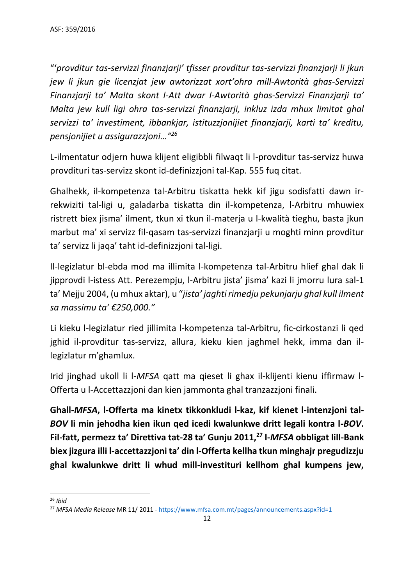"'*provditur tas-servizzi finanzjarji' tfisser provditur tas-servizzi finanzjarji li jkun jew li jkun gie licenzjat jew awtorizzat xort'ohra mill-Awtorità ghas-Servizzi Finanzjarji ta' Malta skont l-Att dwar l-Awtorità ghas-Servizzi Finanzjarji ta' Malta jew kull ligi ohra tas-servizzi finanzjarji, inkluz izda mhux limitat ghal servizzi ta' investiment, ibbankjar, istituzzjonijiet finanzjarji, karti ta' kreditu, pensjonijiet u assigurazzjoni…"<sup>26</sup>*

L-ilmentatur odjern huwa klijent eligibbli filwaqt li l-provditur tas-servizz huwa provdituri tas-servizz skont id-definizzjoni tal-Kap. 555 fuq citat.

Ghalhekk, il-kompetenza tal-Arbitru tiskatta hekk kif jigu sodisfatti dawn irrekwiziti tal-ligi u, galadarba tiskatta din il-kompetenza, l-Arbitru mhuwiex ristrett biex jisma' ilment, tkun xi tkun il-materja u l-kwalità tieghu, basta jkun marbut ma' xi servizz fil-qasam tas-servizzi finanzjarji u moghti minn provditur ta' servizz li jaqa' taht id-definizzjoni tal-ligi.

Il-legizlatur bl-ebda mod ma illimita l-kompetenza tal-Arbitru hlief ghal dak li jipprovdi l-istess Att. Perezempju, l-Arbitru jista' jisma' kazi li jmorru lura sal-1 ta' Mejju 2004, (u mhux aktar), u "*jista' jaghti rimedju pekunjarju ghal kull ilment sa massimu ta' €250,000."*

Li kieku l-legizlatur ried jillimita l-kompetenza tal-Arbitru, fic-cirkostanzi li qed jghid il-provditur tas-servizz, allura, kieku kien jaghmel hekk, imma dan illegizlatur m'ghamlux.

Irid jinghad ukoll li l-*MFSA* qatt ma qieset li ghax il-klijenti kienu iffirmaw l-Offerta u l-Accettazzjoni dan kien jammonta ghal tranzazzjoni finali.

**Ghall-***MFSA***, l-Offerta ma kinetx tikkonkludi l-kaz, kif kienet l-intenzjoni tal-***BOV* **li min jehodha kien ikun qed icedi kwalunkwe dritt legali kontra l-***BOV***. Fil-fatt, permezz ta' Direttiva tat-28 ta' Gunju 2011, <sup>27</sup> l-***MFSA* **obbligat lill-Bank biex jizgura illi l-accettazzjoni ta' din l-Offerta kellha tkun minghajr pregudizzju ghal kwalunkwe dritt li whud mill-investituri kellhom ghal kumpens jew,** 

**<sup>.</sup>** <sup>26</sup> *Ibid*

<sup>27</sup> *MFSA Media Release* MR 11/ 2011 - <https://www.mfsa.com.mt/pages/announcements.aspx?id=1>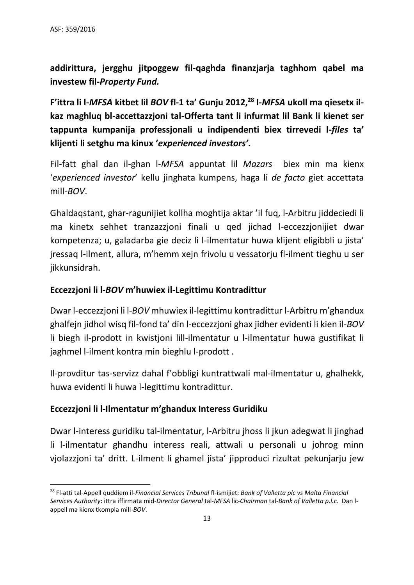1

**addirittura, jergghu jitpoggew fil-qaghda finanzjarja taghhom qabel ma investew fil-***Property Fund.*

**F'ittra li l-***MFSA* **kitbet lil** *BOV* **fl-1 ta' Gunju 2012, <sup>28</sup> l-***MFSA* **ukoll ma qiesetx ilkaz maghluq bl-accettazzjoni tal-Offerta tant li infurmat lil Bank li kienet ser tappunta kumpanija professjonali u indipendenti biex tirrevedi l-***files* **ta' klijenti li setghu ma kinux '***experienced investors'***.**

Fil-fatt ghal dan il-ghan l-*MFSA* appuntat lil *Mazars* biex min ma kienx '*experienced investor*' kellu jinghata kumpens, haga li *de facto* giet accettata mill-*BOV*.

Ghaldaqstant, ghar-ragunijiet kollha moghtija aktar 'il fuq, l-Arbitru jiddeciedi li ma kinetx sehhet tranzazzjoni finali u qed jichad l-eccezzjonijiet dwar kompetenza; u, galadarba gie deciz li l-ilmentatur huwa klijent eligibbli u jista' jressaq l-ilment, allura, m'hemm xejn frivolu u vessatorju fl-ilment tieghu u ser jikkunsidrah.

## **Eccezzjoni li l-***BOV* **m'huwiex il-Legittimu Kontradittur**

Dwar l-eccezzjoni li l-*BOV* mhuwiex il-legittimu kontradittur l-Arbitru m'ghandux ghalfejn jidhol wisq fil-fond ta' din l-eccezzjoni ghax jidher evidenti li kien il-*BOV* li biegh il-prodott in kwistjoni lill-ilmentatur u l-ilmentatur huwa gustifikat li jaghmel l-ilment kontra min bieghlu l-prodott .

Il-provditur tas-servizz dahal f'obbligi kuntrattwali mal-ilmentatur u, ghalhekk, huwa evidenti li huwa l-legittimu kontradittur.

#### **Eccezzjoni li l-Ilmentatur m'ghandux Interess Guridiku**

Dwar l-interess guridiku tal-ilmentatur, l-Arbitru jhoss li jkun adegwat li jinghad li l-ilmentatur ghandhu interess reali, attwali u personali u johrog minn vjolazzjoni ta' dritt. L-ilment li ghamel jista' jipproduci rizultat pekunjarju jew

<sup>28</sup> Fl-atti tal-Appell quddiem il-*Financial Services Tribunal* fl-ismijiet: *Bank of Valletta plc vs Malta Financial Services Authority*: ittra iffirmata mid-*Director General* tal-*MFSA* lic-*Chairman* tal-*Bank of Valletta p.l.c*. Dan lappell ma kienx tkompla mill-*BOV*.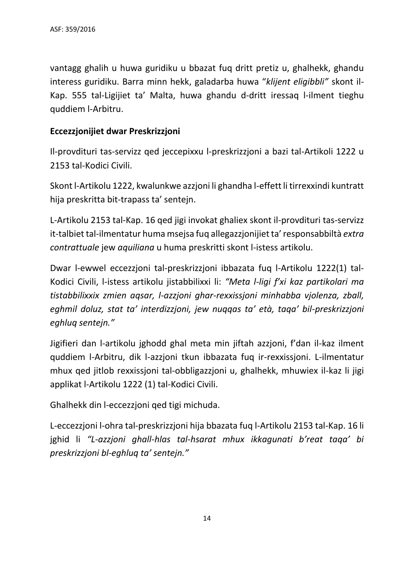vantagg ghalih u huwa guridiku u bbazat fuq dritt pretiz u, ghalhekk, ghandu interess guridiku. Barra minn hekk, galadarba huwa "*klijent eligibbli"* skont il-Kap. 555 tal-Ligijiet ta' Malta, huwa ghandu d-dritt iressaq l-ilment tieghu quddiem l-Arbitru.

## **Eccezzjonijiet dwar Preskrizzjoni**

Il-provdituri tas-servizz qed jeccepixxu l-preskrizzjoni a bazi tal-Artikoli 1222 u 2153 tal-Kodici Civili.

Skont l-Artikolu 1222, kwalunkwe azzjoni li ghandha l-effett li tirrexxindi kuntratt hija preskritta bit-trapass ta' sentejn.

L-Artikolu 2153 tal-Kap. 16 qed jigi invokat ghaliex skont il-provdituri tas-servizz it-talbiet tal-ilmentatur huma msejsa fuq allegazzjonijiet ta' responsabbiltà *extra contrattuale* jew *aquiliana* u huma preskritti skont l-istess artikolu.

Dwar l-ewwel eccezzjoni tal-preskrizzjoni ibbazata fuq l-Artikolu 1222(1) tal-Kodici Civili, l-istess artikolu jistabbilixxi li: *"Meta l-ligi f'xi kaz partikolari ma tistabbilixxix zmien aqsar, l-azzjoni ghar-rexxissjoni minhabba vjolenza, zball, eghmil doluz, stat ta' interdizzjoni, jew nuqqas ta' età, taqa' bil-preskrizzjoni eghluq sentejn."*

Jigifieri dan l-artikolu jghodd ghal meta min jiftah azzjoni, f'dan il-kaz ilment quddiem l-Arbitru, dik l-azzjoni tkun ibbazata fuq ir-rexxissjoni. L-ilmentatur mhux qed jitlob rexxissjoni tal-obbligazzjoni u, ghalhekk, mhuwiex il-kaz li jigi applikat l-Artikolu 1222 (1) tal-Kodici Civili.

Ghalhekk din l-eccezzjoni qed tigi michuda.

L-eccezzjoni l-ohra tal-preskrizzjoni hija bbazata fuq l-Artikolu 2153 tal-Kap. 16 li jghid li *"L-azzjoni ghall-hlas tal-hsarat mhux ikkagunati b'reat taqa' bi preskrizzjoni bl-eghluq ta' sentejn."*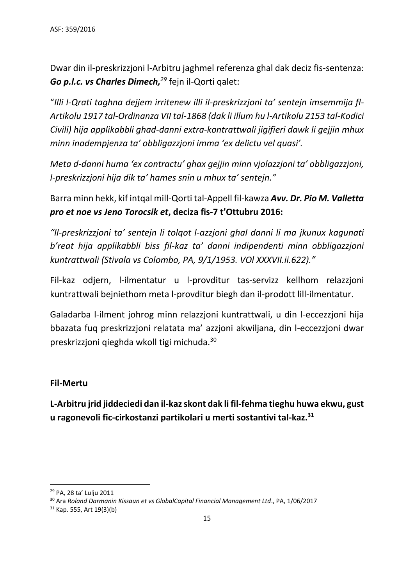Dwar din il-preskrizzjoni l-Arbitru jaghmel referenza ghal dak deciz fis-sentenza: *Go p.l.c. vs Charles Dimech,<sup>29</sup>* fejn il-Qorti qalet:

"*Illi l-Qrati taghna dejjem irritenew illi il-preskrizzjoni ta' sentejn imsemmija fl-Artikolu 1917 tal-Ordinanza VII tal-1868 (dak li illum hu l-Artikolu 2153 tal-Kodici Civili) hija applikabbli ghad-danni extra-kontrattwali jigifieri dawk li gejjin mhux minn inadempjenza ta' obbligazzjoni imma 'ex delictu vel quasi'.* 

*Meta d-danni huma 'ex contractu' ghax gejjin minn vjolazzjoni ta' obbligazzjoni, l-preskrizzjoni hija dik ta' hames snin u mhux ta' sentejn."*

Barra minn hekk, kif intqal mill-Qorti tal-Appell fil-kawza *Avv. Dr. Pio M. Valletta pro et noe vs Jeno Torocsik et***, deciza fis-7 t'Ottubru 2016:**

*"Il-preskrizzjoni ta' sentejn li tolqot l-azzjoni ghal danni li ma jkunux kagunati b'reat hija applikabbli biss fil-kaz ta' danni indipendenti minn obbligazzjoni kuntrattwali (Stivala vs Colombo, PA, 9/1/1953. VOl XXXVII.ii.622)."*

Fil-kaz odjern, l-ilmentatur u l-provditur tas-servizz kellhom relazzjoni kuntrattwali bejniethom meta l-provditur biegh dan il-prodott lill-ilmentatur.

Galadarba l-ilment johrog minn relazzjoni kuntrattwali, u din l-eccezzjoni hija bbazata fuq preskrizzjoni relatata ma' azzjoni akwiljana, din l-eccezzjoni dwar preskrizzjoni qieghda wkoll tigi michuda.<sup>30</sup>

## **Fil-Mertu**

**L-Arbitru jrid jiddeciedi dan il-kazskont dak li fil-fehma tieghu huwa ekwu, gust u ragonevoli fic-cirkostanzi partikolari u merti sostantivi tal-kaz.<sup>31</sup>**

1

<sup>29</sup> PA, 28 ta' Lulju 2011

<sup>30</sup> Ara *Roland Darmanin Kissaun et vs GlobalCapital Financial Management Ltd*., PA, 1/06/2017

 $31$  Kap. 555, Art 19(3)(b)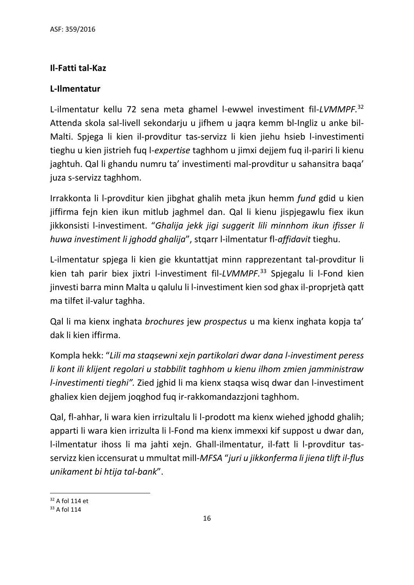# **Il-Fatti tal-Kaz**

## **L-Ilmentatur**

L-ilmentatur kellu 72 sena meta ghamel l-ewwel investiment fil-*LVMMPF.* 32 Attenda skola sal-livell sekondarju u jifhem u jaqra kemm bl-Ingliz u anke bil-Malti. Spjega li kien il-provditur tas-servizz li kien jiehu hsieb l-investimenti tieghu u kien jistrieh fuq l-*expertise* taghhom u jimxi dejjem fuq il-pariri li kienu jaghtuh. Qal li ghandu numru ta' investimenti mal-provditur u sahansitra baqa' juza s-servizz taghhom.

Irrakkonta li l-provditur kien jibghat ghalih meta jkun hemm *fund* gdid u kien jiffirma fejn kien ikun mitlub jaghmel dan. Qal li kienu jispjegawlu fiex ikun jikkonsisti l-investiment. "*Ghalija jekk jigi suggerit lili minnhom ikun ifisser li huwa investiment li jghodd ghalija*", stqarr l-ilmentatur fl-*affidavit* tieghu.

L-ilmentatur spjega li kien gie kkuntattjat minn rapprezentant tal-provditur li kien tah parir biex jixtri l-investiment fil-*LVMMPF.* <sup>33</sup> Spjegalu li l-Fond kien jinvesti barra minn Malta u qalulu li l-investiment kien sod ghax il-proprjetà qatt ma tilfet il-valur taghha.

Qal li ma kienx inghata *brochures* jew *prospectus* u ma kienx inghata kopja ta' dak li kien iffirma.

Kompla hekk: "*Lili ma staqsewni xejn partikolari dwar dana l-investiment peress li kont ili klijent regolari u stabbilit taghhom u kienu ilhom zmien jamministraw l-investimenti tieghi".* Zied jghid li ma kienx staqsa wisq dwar dan l-investiment ghaliex kien dejjem joqghod fuq ir-rakkomandazzjoni taghhom.

Qal, fl-ahhar, li wara kien irrizultalu li l-prodott ma kienx wiehed jghodd ghalih; apparti li wara kien irrizulta li l-Fond ma kienx immexxi kif suppost u dwar dan, l-ilmentatur ihoss li ma jahti xejn. Ghall-ilmentatur, il-fatt li l-provditur tasservizz kien iccensurat u mmultat mill-*MFSA* "*juri u jikkonferma li jiena tlift il-flus unikament bi htija tal-bank*".

**<sup>.</sup>** <sup>32</sup> A fol 114 et

<sup>33</sup> A fol 114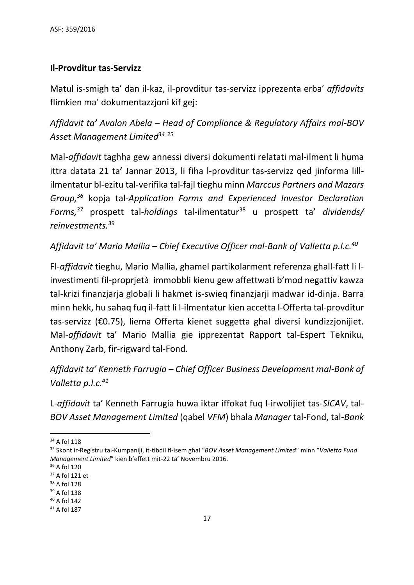## **Il-Provditur tas-Servizz**

Matul is-smigh ta' dan il-kaz, il-provditur tas-servizz ipprezenta erba' *affidavits* flimkien ma' dokumentazzjoni kif gej:

*Affidavit ta' Avalon Abela – Head of Compliance & Regulatory Affairs mal-BOV Asset Management Limited<sup>34</sup> <sup>35</sup>*

Mal*-affidavit* taghha gew annessi diversi dokumenti relatati mal-ilment li huma ittra datata 21 ta' Jannar 2013, li fiha l-provditur tas-servizz qed jinforma lillilmentatur bl-ezitu tal-verifika tal-fajl tieghu minn *Marccus Partners and Mazars Group, <sup>36</sup>* kopja tal-*Application Forms and Experienced Investor Declaration Forms, <sup>37</sup>* prospett tal-*holdings* tal-ilmentatur<sup>38</sup> u prospett ta' *dividends/ reinvestments. 39*

*Affidavit ta' Mario Mallia – Chief Executive Officer mal-Bank of Valletta p.l.c. 40*

Fl-*affidavit* tieghu, Mario Mallia, ghamel partikolarment referenza ghall-fatt li linvestimenti fil-proprjetà immobbli kienu gew affettwati b'mod negattiv kawza tal-krizi finanzjarja globali li hakmet is-swieq finanzjarji madwar id-dinja. Barra minn hekk, hu sahaq fuq il-fatt li l-ilmentatur kien accetta l-Offerta tal-provditur tas-servizz (€0.75), liema Offerta kienet suggetta ghal diversi kundizzjonijiet. Mal-*affidavit* ta' Mario Mallia gie ipprezentat Rapport tal-Espert Tekniku, Anthony Zarb, fir-rigward tal-Fond.

*Affidavit ta' Kenneth Farrugia – Chief Officer Business Development mal-Bank of Valletta p.l.c. 41*

L-*affidavit* ta' Kenneth Farrugia huwa iktar iffokat fuq l-irwolijiet tas-*SICAV*, tal-*BOV Asset Management Limited* (qabel *VFM*) bhala *Manager* tal-Fond, tal*-Bank*

**.** 

<sup>34</sup> A fol 118

<sup>35</sup> Skont ir-Registru tal-Kumpaniji, it-tibdil fl-isem ghal "*BOV Asset Management Limited*" minn "*Valletta Fund Management Limited*" kien b'effett mit-22 ta' Novembru 2016.

<sup>36</sup> A fol 120

<sup>37</sup> A fol 121 et

<sup>38</sup> A fol 128

<sup>39</sup> A fol 138

<sup>40</sup> A fol 142

 $41$  A fol 187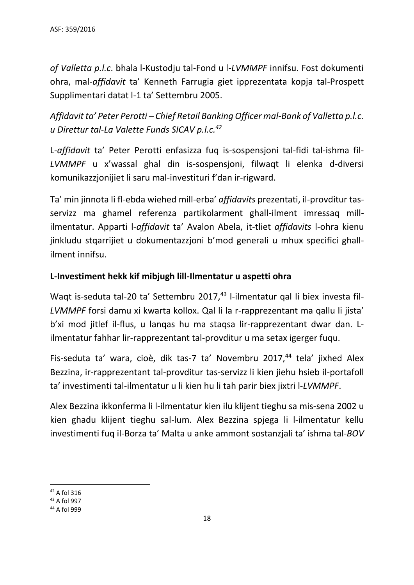*of Valletta p.l.c*. bhala l-Kustodju tal-Fond u l-*LVMMPF* innifsu. Fost dokumenti ohra, mal-*affidavit* ta' Kenneth Farrugia giet ipprezentata kopja tal-Prospett Supplimentari datat l-1 ta' Settembru 2005.

*Affidavit ta' Peter Perotti – Chief Retail Banking Officer mal-Bank of Valletta p.l.c. u Direttur tal-La Valette Funds SICAV p.l.c. 42*

L*-affidavit* ta' Peter Perotti enfasizza fuq is-sospensjoni tal-fidi tal-ishma fil-*LVMMPF* u x'wassal ghal din is-sospensjoni, filwaqt li elenka d-diversi komunikazzjonijiet li saru mal-investituri f'dan ir-rigward.

Ta' min jinnota li fl-ebda wiehed mill-erba' *affidavits* prezentati, il-provditur tasservizz ma ghamel referenza partikolarment ghall-ilment imressaq millilmentatur. Apparti l-*affidavit* ta' Avalon Abela, it-tliet *affidavits* l-ohra kienu jinkludu stqarrijiet u dokumentazzjoni b'mod generali u mhux specifici ghallilment innifsu.

## **L-Investiment hekk kif mibjugh lill-Ilmentatur u aspetti ohra**

Waqt is-seduta tal-20 ta' Settembru 2017, <sup>43</sup> l-ilmentatur qal li biex investa fil-*LVMMPF* forsi damu xi kwarta kollox. Qal li la r-rapprezentant ma qallu li jista' b'xi mod jitlef il-flus, u lanqas hu ma staqsa lir-rapprezentant dwar dan. Lilmentatur fahhar lir-rapprezentant tal-provditur u ma setax igerger fuqu.

Fis-seduta ta' wara, cioè, dik tas-7 ta' Novembru 2017, <sup>44</sup> tela' jixhed Alex Bezzina, ir-rapprezentant tal-provditur tas-servizz li kien jiehu hsieb il-portafoll ta' investimenti tal-ilmentatur u li kien hu li tah parir biex jixtri l-*LVMMPF*.

Alex Bezzina ikkonferma li l-ilmentatur kien ilu klijent tieghu sa mis-sena 2002 u kien ghadu klijent tieghu sal-lum. Alex Bezzina spjega li l-ilmentatur kellu investimenti fuq il-Borza ta' Malta u anke ammont sostanzjali ta' ishma tal-*BOV*

1

<sup>42</sup> A fol 316

<sup>43</sup> A fol 997

<sup>44</sup> A fol 999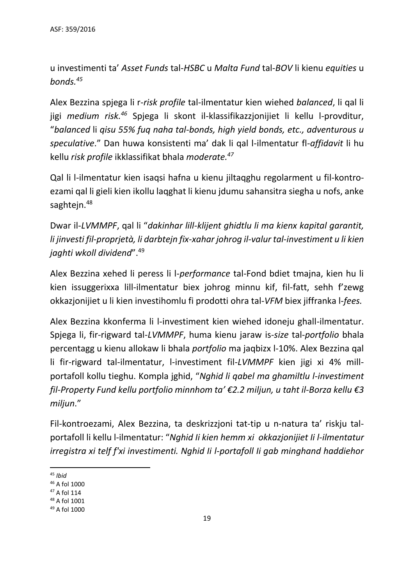u investimenti ta' *Asset Funds* tal-*HSBC* u *Malta Fund* tal-*BOV* li kienu *equities* u *bonds.<sup>45</sup>*

Alex Bezzina spjega li r-*risk profile* tal-ilmentatur kien wiehed *balanced*, li qal li jigi *medium risk. <sup>46</sup>* Spjega li skont il-klassifikazzjonijiet li kellu l-provditur, "*balanced* li *qisu 55% fuq naha tal-bonds, high yield bonds, etc., adventurous u speculative*." Dan huwa konsistenti ma' dak li qal l-ilmentatur fl-*affidavit* li hu kellu *risk profile* ikklassifikat bhala *moderate. 47*

Qal li l-ilmentatur kien isaqsi hafna u kienu jiltaqghu regolarment u fil-kontroezami qal li gieli kien ikollu laqghat li kienu jdumu sahansitra siegha u nofs, anke saghtejn.<sup>48</sup>

Dwar il-*LVMMPF*, qal li "*dakinhar lill-klijent ghidtlu li ma kienx kapital garantit, li jinvesti fil-proprjetà, li darbtejn fix-xahar johrog il-valur tal-investiment u li kien jaghti wkoll dividend*". 49

Alex Bezzina xehed li peress li l-*performance* tal-Fond bdiet tmajna, kien hu li kien issuggerixxa lill-ilmentatur biex johrog minnu kif, fil-fatt, sehh f'zewg okkazjonijiet u li kien investihomlu fi prodotti ohra tal-*VFM* biex jiffranka l-*fees.*

Alex Bezzina kkonferma li l-investiment kien wiehed idoneju ghall-ilmentatur. Spjega li, fir-rigward tal-*LVMMPF*, huma kienu jaraw is-*size* tal-*portfolio* bhala percentagg u kienu allokaw li bhala *portfolio* ma jaqbizx l-10%. Alex Bezzina qal li fir-rigward tal-ilmentatur, l-investiment fil-*LVMMPF* kien jigi xi 4% millportafoll kollu tieghu. Kompla jghid, "*Nghid li qabel ma ghamiltlu l-investiment fil-Property Fund kellu portfolio minnhom ta' €2.2 miljun, u taht il-Borza kellu €3 miljun*."

Fil-kontroezami, Alex Bezzina, ta deskrizzjoni tat-tip u n-natura ta' riskju talportafoll li kellu l-ilmentatur: "*Nghid Ii kien hemm xi okkazjonijiet Ii l-ilmentatur irregistra xi telf f'xi investimenti. Nghid Ii l-portafoll Ii gab minghand haddiehor* 

<sup>49</sup> A fol 1000

<sup>1</sup> <sup>45</sup> *Ibid*

<sup>46</sup> A fol 1000

<sup>47</sup> A fol 114

<sup>48</sup> A fol 1001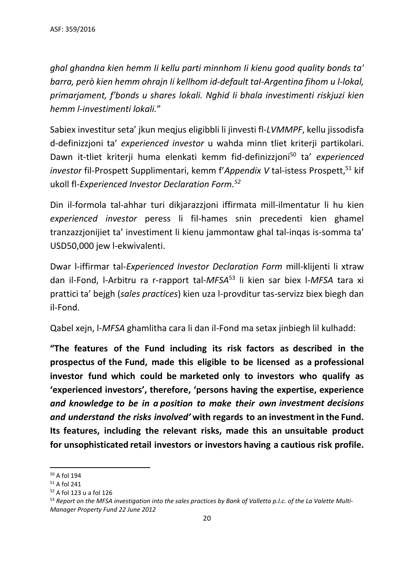*ghal ghandna kien hemm Ii kellu parti minnhom Ii kienu good quality bonds ta' barra, però kien hemm ohrajn Ii kellhom id-default taI-Argentina fihom u l-lokal, primarjament, f'bonds u shares lokali. Nghid Ii bhala investimenti riskjuzi kien hemm l-investimenti lokali.*"

Sabiex investitur seta' jkun meqjus eligibbli li jinvesti fl-*LVMMPF*, kellu jissodisfa d-definizzjoni ta' *experienced investor* u wahda minn tliet kriterji partikolari. Dawn it-tliet kriterji huma elenkati kemm fid-definizzjoni<sup>50</sup> ta' *experienced investor* fil-Prospett Supplimentari, kemm f'*Appendix V* tal-istess Prospett, <sup>51</sup> kif ukoll fl-*Experienced Investor Declaration Form. 52*

Din il-formola tal-ahhar turi dikjarazzjoni iffirmata mill-ilmentatur li hu kien *experienced investor* peress li fil-hames snin precedenti kien ghamel tranzazzjonijiet ta' investiment li kienu jammontaw ghal tal-inqas is-somma ta' USD50,000 jew l-ekwivalenti.

Dwar l-iffirmar tal-*Experienced Investor Declaration Form* mill-klijenti li xtraw dan il-Fond, l-Arbitru ra r-rapport tal-*MFSA*<sup>53</sup> li kien sar biex l-*MFSA* tara xi prattici ta' bejgh (*sales practices*) kien uza l-provditur tas-servizz biex biegh dan il-Fond.

Qabel xejn, l-*MFSA* ghamlitha cara li dan il-Fond ma setax jinbiegh lil kulhadd:

**"The features of the Fund including its risk factors as described in the prospectus of the Fund, made this eligible to be licensed as a professional investor fund which could be marketed only to investors who qualify as 'experienced investors', therefore, 'persons having the expertise, experience**  *and knowledge to be in a position to make their own investment decisions and understand the risks involved'* **with regards to an investment in the Fund. Its features, including the relevant risks, made this an unsuitable product for unsophisticated retail investors or investors having a cautious risk profile.**

<sup>1</sup> <sup>50</sup> A fol 194

<sup>51</sup> A fol 241

<sup>52</sup> A fol 123 u a fol 126

<sup>53</sup> *Report on the MFSA investigation into the sales practices by Bank of Valletta p.l.c. of the La Valette Multi-Manager Property Fund 22 June 2012*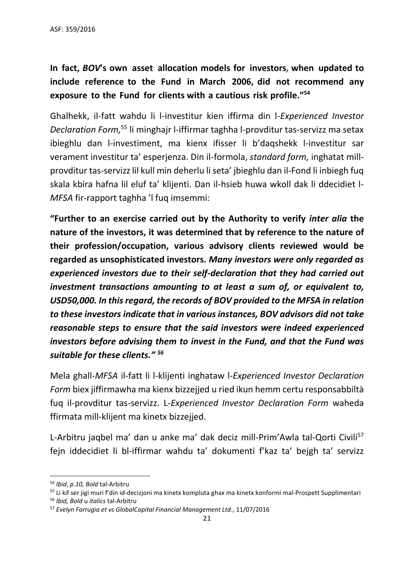# **In fact,** *BOV***'s own asset allocation models for investors, when updated to include reference to the Fund in March 2006, did not recommend any exposure to the Fund for clients with a cautious risk profile." 54**

Ghalhekk, il-fatt wahdu li l-investitur kien iffirma din l-*Experienced Investor Declaration Form,* <sup>55</sup> li minghajr l-iffirmar taghha l-provditur tas-servizz ma setax ibieghlu dan l-investiment, ma kienx ifisser li b'daqshekk l-investitur sar verament investitur ta' esperjenza. Din il-formola, *standard form,* inghatat millprovditur tas-servizzlil kull min deherlu li seta' jbieghlu dan il-Fond li inbiegh fuq skala kbira hafna lil eluf ta' klijenti. Dan il-hsieb huwa wkoll dak li ddecidiet l-*MFSA* fir-rapport taghha 'l fuq imsemmi:

**"Further to an exercise carried out by the Authority to verify** *inter alia* **the nature of the investors, it was determined that by reference to the nature of their profession/occupation, various advisory clients reviewed would be regarded as unsophisticated investors.** *Many investors were only regarded as experienced investors due to their self-declaration that they had carried out investment transactions amounting to at least a sum of, or equivalent to, USD50,000. In this regard, the records of BOV provided to the MFSA in relation to these investors indicate that in various instances, BOV advisors did not take reasonable steps to ensure that the said investors were indeed experienced investors before advising them to invest in the Fund, and that the Fund was suitable for these clients." <sup>56</sup>*

Mela ghall-*MFSA* il-fatt li l-klijenti inghataw l-*Experienced Investor Declaration Form* biex jiffirmawha ma kienx bizzejjed u ried ikun hemm certu responsabbiltà fuq il-provditur tas-servizz. L-*Experienced Investor Declaration Form* waheda ffirmata mill-klijent ma kinetx bizzejjed.

L-Arbitru jaqbel ma' dan u anke ma' dak deciz mill-Prim'Awla tal-Qorti Civili<sup>57</sup> fejn iddecidiet li bl-iffirmar wahdu ta' dokumenti f'kaz ta' bejgh ta' servizz

**<sup>.</sup>** <sup>54</sup> *Ibid*, *p.10, Bold* tal-Arbitru

<sup>&</sup>lt;sup>55</sup> Li kif ser jigi muri f'din id-decizjoni ma kinetx kompluta ghax ma kinetx konformi mal-Prospett Supplimentari <sup>56</sup> *Ibid, Bold* u *italics* tal-Arbitru

<sup>57</sup> *Evelyn Farrugia et vs GlobalCapital Financial Management Ltd*., 11/07/2016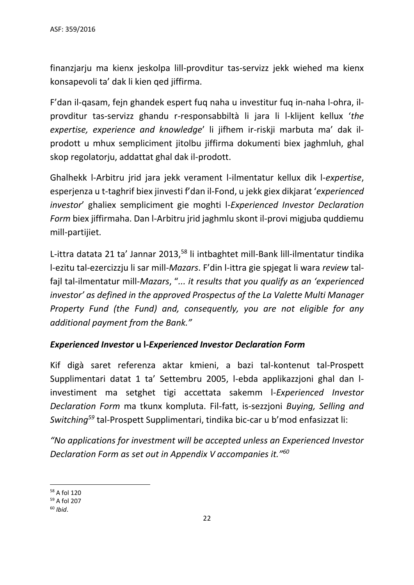finanzjarju ma kienx jeskolpa lill-provditur tas-servizz jekk wiehed ma kienx konsapevoli ta' dak li kien qed jiffirma.

F'dan il-qasam, fejn ghandek espert fuq naha u investitur fuq in-naha l-ohra, ilprovditur tas-servizz ghandu r-responsabbiltà li jara li l-klijent kellux '*the expertise, experience and knowledge*' li jifhem ir-riskji marbuta ma' dak ilprodott u mhux sempliciment jitolbu jiffirma dokumenti biex jaghmluh, ghal skop regolatorju, addattat ghal dak il-prodott.

Ghalhekk l-Arbitru jrid jara jekk verament l-ilmentatur kellux dik l-*expertise*, esperjenza u t-taghrif biex jinvesti f'dan il-Fond, u jekk giex dikjarat '*experienced investor*' ghaliex sempliciment gie moghti l-*Experienced Investor Declaration Form* biex jiffirmaha. Dan l-Arbitru jrid jaghmlu skont il-provi migjuba quddiemu mill-partijiet.

L-ittra datata 21 ta' Jannar 2013,<sup>58</sup> li intbaghtet mill-Bank lill-ilmentatur tindika l-ezitu tal-ezercizzju li sar mill-*Mazars*. F'din l-ittra gie spjegat li wara *review* talfajl tal-ilmentatur mill-*Mazars*, "*... it results that you qualify as an 'experienced investor' as defined in the approved Prospectus of the La Valette Multi Manager Property Fund (the Fund) and, consequently, you are not eligible for any additional payment from the Bank."*

## *Experienced Investor* **u l-***Experienced Investor Declaration Form*

Kif digà saret referenza aktar kmieni, a bazi tal-kontenut tal-Prospett Supplimentari datat 1 ta' Settembru 2005, l-ebda applikazzjoni ghal dan linvestiment ma setghet tigi accettata sakemm l-*Experienced Investor Declaration Form* ma tkunx kompluta. Fil-fatt, is-sezzjoni *Buying, Selling and Switching<sup>59</sup>* tal-Prospett Supplimentari, tindika bic-car u b'mod enfasizzat li:

*"No applications for investment will be accepted unless an Experienced Investor Declaration Form as set out in Appendix V accompanies it."<sup>60</sup>*

1

<sup>58</sup> A fol 120

<sup>59</sup> A fol 207

<sup>60</sup> *Ibid*.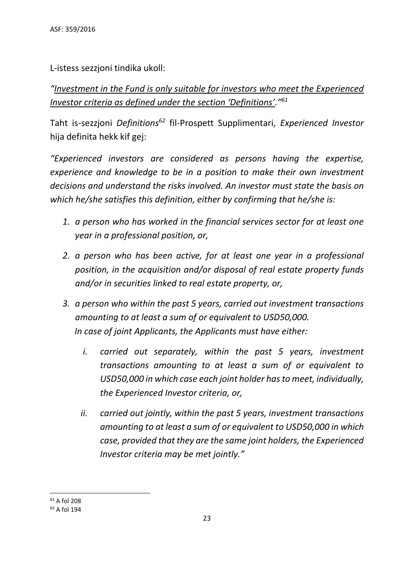L-istess sezzjoni tindika ukoll:

*"Investment in the Fund is only suitable for investors who meet the Experienced Investor criteria as defined under the section 'Definitions'."<sup>61</sup>*

Taht is-sezzjoni *Definitions<sup>62</sup>* fil-Prospett Supplimentari, *Experienced Investor* hija definita hekk kif gej:

*"Experienced investors are considered as persons having the expertise, experience and knowledge to be in a position to make their own investment decisions and understand the risks involved. An investor must state the basis on which he/she satisfies this definition, either by confirming that he/she is:*

- *1. a person who has worked in the financial services sector for at least one year in a professional position, or,*
- *2. a person who has been active, for at least one year in a professional position, in the acquisition and/or disposal of real estate property funds and/or in securities linked to real estate property, or,*
- *3. a person who within the past 5 years, carried out investment transactions amounting to at least a sum of or equivalent to USD50,000. In case of joint Applicants, the Applicants must have either:*
	- *i. carried out separately, within the past 5 years, investment transactions amounting to at least a sum of or equivalent to USD50,000 in which case each joint holder has to meet, individually, the Experienced Investor criteria, or,*
	- *ii. carried out jointly, within the past 5 years, investment transactions amounting to at least a sum of or equivalent to USD50,000 in which case, provided that they are the same joint holders, the Experienced Investor criteria may be met jointly."*

**<sup>.</sup>** <sup>61</sup> A fol 208

<sup>62</sup> A fol 194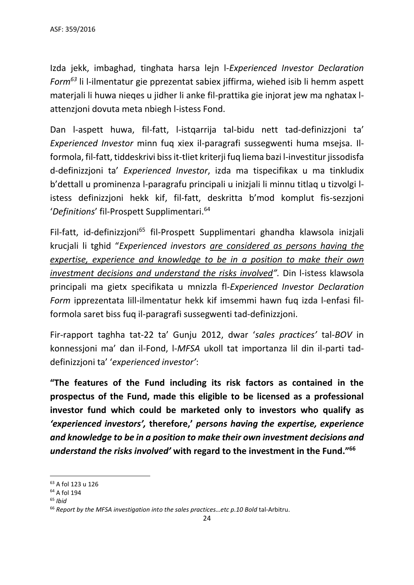Izda jekk, imbaghad, tinghata harsa lejn l-*Experienced Investor Declaration Form<sup>63</sup>* li l-ilmentatur gie pprezentat sabiex jiffirma, wiehed isib li hemm aspett materjali li huwa nieqes u jidher li anke fil-prattika gie injorat jew ma nghatax lattenzjoni dovuta meta nbiegh l-istess Fond.

Dan l-aspett huwa, fil-fatt, l-istqarrija tal-bidu nett tad-definizzjoni ta' *Experienced Investor* minn fuq xiex il-paragrafi sussegwenti huma msejsa. Ilformola, fil-fatt, tiddeskrivi biss it-tliet kriterji fuq liema bazi l-investitur jissodisfa d-definizzjoni ta' *Experienced Investor*, izda ma tispecifikax u ma tinkludix b'dettall u prominenza l-paragrafu principali u inizjali li minnu titlaq u tizvolgi listess definizzjoni hekk kif, fil-fatt, deskritta b'mod komplut fis-sezzjoni '*Definitions*' fil-Prospett Supplimentari. 64

Fil-fatt, id-definizzioni<sup>65</sup> fil-Prospett Supplimentari ghandha klawsola iniziali krucjali li tghid "*Experienced investors are considered as persons having the expertise, experience and knowledge to be in a position to make their own investment decisions and understand the risks involved".* Din l-istess klawsola principali ma gietx specifikata u mnizzla fl-*Experienced Investor Declaration Form* ipprezentata lill-ilmentatur hekk kif imsemmi hawn fuq izda l-enfasi filformola saret biss fuq il-paragrafi sussegwenti tad-definizzjoni.

Fir-rapport taghha tat-22 ta' Gunju 2012, dwar '*sales practices'* tal-*BOV* in konnessjoni ma' dan il-Fond, l-*MFSA* ukoll tat importanza lil din il-parti taddefinizzjoni ta' '*experienced investor'*:

**"The features of the Fund including its risk factors as contained in the prospectus of the Fund, made this eligible to be licensed as a professional investor fund which could be marketed only to investors who qualify as**  *'experienced investors',* **therefore,'** *persons having the expertise, experience and knowledge to be in a position to make their own investment decisions and understand the risks involved'* **with regard to the investment in the Fund." 66**

**.** 

<sup>63</sup> A fol 123 u 126

<sup>64</sup> A fol 194

<sup>65</sup> *Ibid*

<sup>66</sup> *Report by the MFSA investigation into the sales practices…etc p.10 Bold* tal-Arbitru.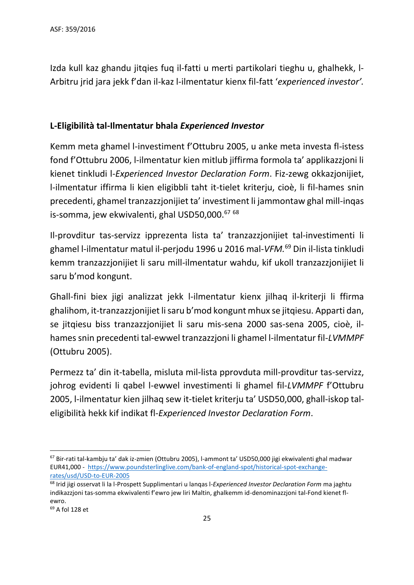Izda kull kaz ghandu jitqies fuq il-fatti u merti partikolari tieghu u, ghalhekk, l-Arbitru jrid jara jekk f'dan il-kaz l-ilmentatur kienx fil-fatt '*experienced investor'.*

## **L-Eligibilità tal-Ilmentatur bhala** *Experienced Investor*

Kemm meta ghamel l-investiment f'Ottubru 2005, u anke meta investa fl-istess fond f'Ottubru 2006, l-ilmentatur kien mitlub jiffirma formola ta' applikazzjoni li kienet tinkludi l-*Experienced Investor Declaration Form*. Fiz-zewg okkazjonijiet, l-ilmentatur iffirma li kien eligibbli taht it-tielet kriterju, cioè, li fil-hames snin precedenti, ghamel tranzazzjonijiet ta' investiment li jammontaw ghal mill-inqas is-somma, jew ekwivalenti, ghal USD50,000.<sup>67 68</sup>

Il-provditur tas-servizz ipprezenta lista ta' tranzazzjonijiet tal-investimenti li ghamel l-ilmentatur matul il-perjodu 1996 u 2016 mal-*VFM.* <sup>69</sup> Din il-lista tinkludi kemm tranzazzjonijiet li saru mill-ilmentatur wahdu, kif ukoll tranzazzjonijiet li saru b'mod kongunt.

Ghall-fini biex jigi analizzat jekk l-ilmentatur kienx jilhaq il-kriterji li ffirma ghalihom, it-tranzazzjonijiet li saru b'mod kongunt mhux se jitqiesu. Apparti dan, se jitqiesu biss tranzazzjonijiet li saru mis-sena 2000 sas-sena 2005, cioè, ilhames snin precedenti tal-ewwel tranzazzjoni li ghamel l-ilmentatur fil-*LVMMPF* (Ottubru 2005).

Permezz ta' din it-tabella, misluta mil-lista pprovduta mill-provditur tas-servizz, johrog evidenti li qabel l-ewwel investimenti li ghamel fil-*LVMMPF* f'Ottubru 2005, l-ilmentatur kien jilhaq sew it-tielet kriterju ta' USD50,000, ghall-iskop taleligibilità hekk kif indikat fl-*Experienced Investor Declaration Form*.

**.** 

<sup>67</sup> Bir-rati tal-kambju ta' dak iz-zmien (Ottubru 2005), l-ammont ta' USD50,000 jigi ekwivalenti ghal madwar EUR41,000 - [https://www.poundsterlinglive.com/bank-of-england-spot/historical-spot-exchange](https://www.poundsterlinglive.com/bank-of-england-spot/historical-spot-exchange-rates/usd/USD-to-EUR-2005)[rates/usd/USD-to-EUR-2005](https://www.poundsterlinglive.com/bank-of-england-spot/historical-spot-exchange-rates/usd/USD-to-EUR-2005)

<sup>68</sup> Irid jigi osservat li la l-Prospett Supplimentari u lanqas l-*Experienced Investor Declaration Form* ma jaghtu indikazzjoni tas-somma ekwivalenti f'ewro jew liri Maltin, ghalkemm id-denominazzjoni tal-Fond kienet flewro.

<sup>69</sup> A fol 128 et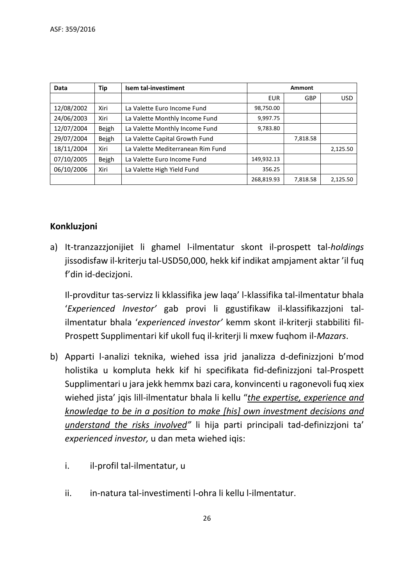| Data       | <b>Tip</b> | Isem tal-investiment              | Ammont     |            |            |
|------------|------------|-----------------------------------|------------|------------|------------|
|            |            |                                   | <b>EUR</b> | <b>GBP</b> | <b>USD</b> |
| 12/08/2002 | Xiri       | La Valette Euro Income Fund       | 98,750.00  |            |            |
| 24/06/2003 | Xiri       | La Valette Monthly Income Fund    | 9,997.75   |            |            |
| 12/07/2004 | Bejgh      | La Valette Monthly Income Fund    | 9,783.80   |            |            |
| 29/07/2004 | Bejgh      | La Valette Capital Growth Fund    |            | 7,818.58   |            |
| 18/11/2004 | Xiri       | La Valette Mediterranean Rim Fund |            |            | 2,125.50   |
| 07/10/2005 | Bejgh      | La Valette Euro Income Fund       | 149,932.13 |            |            |
| 06/10/2006 | Xiri       | La Valette High Yield Fund        | 356.25     |            |            |
|            |            |                                   | 268,819.93 | 7,818.58   | 2,125.50   |

# **Konkluzjoni**

a) It-tranzazzjonijiet li ghamel l-ilmentatur skont il-prospett tal-*holdings* jissodisfaw il-kriterju tal-USD50,000, hekk kif indikat ampjament aktar 'il fuq f'din id-decizjoni.

Il-provditur tas-servizz li kklassifika jew laqa' l-klassifika tal-ilmentatur bhala '*Experienced Investor'* gab provi li ggustifikaw il-klassifikazzjoni talilmentatur bhala '*experienced investor'* kemm skont il-kriterji stabbiliti fil-Prospett Supplimentari kif ukoll fuq il-kriterji li mxew fuqhom il-*Mazars*.

- b) Apparti l-analizi teknika, wiehed issa jrid janalizza d-definizzjoni b'mod holistika u kompluta hekk kif hi specifikata fid-definizzjoni tal-Prospett Supplimentari u jara jekk hemmx bazi cara, konvincenti u ragonevoli fuq xiex wiehed jista' jqis lill-ilmentatur bhala li kellu "*the expertise, experience and knowledge to be in a position to make [his] own investment decisions and understand the risks involved"* li hija parti principali tad-definizzjoni ta' *experienced investor,* u dan meta wiehed iqis:
	- i. il-profil tal-ilmentatur, u
	- ii. in-natura tal-investimenti l-ohra li kellu l-ilmentatur.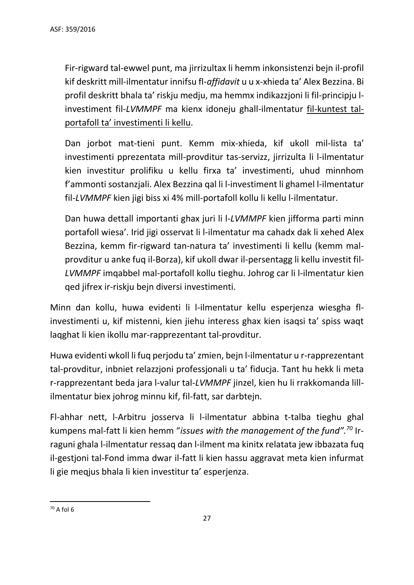Fir-rigward tal-ewwel punt, ma jirrizultax li hemm inkonsistenzi bejn il-profil kif deskritt mill-ilmentatur innifsu fl-*affidavit* u u x-xhieda ta' Alex Bezzina. Bi profil deskritt bhala ta' riskju medju, ma hemmx indikazzjoni li fil-principju linvestiment fil-*LVMMPF* ma kienx idoneju ghall-ilmentatur fil-kuntest talportafoll ta' investimenti li kellu.

Dan jorbot mat-tieni punt. Kemm mix-xhieda, kif ukoll mil-lista ta' investimenti pprezentata mill-provditur tas-servizz, jirrizulta li l-ilmentatur kien investitur prolifiku u kellu firxa ta' investimenti, uhud minnhom f'ammonti sostanzjali. Alex Bezzina qal li l-investiment li ghamel l-ilmentatur fil-*LVMMPF* kien jigi biss xi 4% mill-portafoll kollu li kellu l-ilmentatur.

Dan huwa dettall importanti ghax juri li l-*LVMMPF* kien jifforma parti minn portafoll wiesa'. Irid jigi osservat li l-ilmentatur ma cahadx dak li xehed Alex Bezzina, kemm fir-rigward tan-natura ta' investimenti li kellu (kemm malprovditur u anke fuq il-Borza), kif ukoll dwar il-persentagg li kellu investit fil-*LVMMPF* imqabbel mal-portafoll kollu tieghu. Johrog car li l-ilmentatur kien qed jifrex ir-riskju bejn diversi investimenti.

Minn dan kollu, huwa evidenti li l-ilmentatur kellu esperjenza wiesgha flinvestimenti u, kif mistenni, kien jiehu interess ghax kien isaqsi ta' spiss waqt laqghat li kien ikollu mar-rapprezentant tal-provditur.

Huwa evidenti wkoll li fuq perjodu ta' zmien, bejn l-ilmentatur u r-rapprezentant tal-provditur, inbniet relazzjoni professjonali u ta' fiducja. Tant hu hekk li meta r-rapprezentant beda jara l-valur tal-*LVMMPF* jinzel, kien hu li rrakkomanda lillilmentatur biex johrog minnu kif, fil-fatt, sar darbtejn.

Fl-ahhar nett, l-Arbitru josserva li l-ilmentatur abbina t-talba tieghu ghal kumpens mal-fatt li kien hemm "*issues with the management of the fund". <sup>70</sup>* Irraguni ghala l-ilmentatur ressaq dan l-ilment ma kinitx relatata jew ibbazata fuq il-gestjoni tal-Fond imma dwar il-fatt li kien hassu aggravat meta kien infurmat li gie meqjus bhala li kien investitur ta' esperjenza.

 $\overline{a}$ 

 $70$  A fol 6